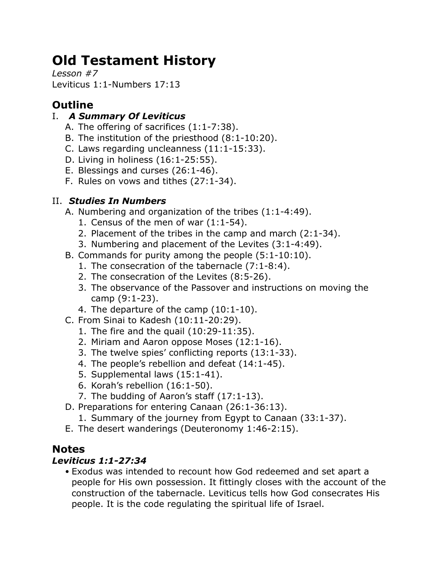# **Old Testament History**

*Lesson #7* Leviticus 1:1-Numbers 17:13

# **Outline**

## I. *A Summary Of Leviticus*

- A. The offering of sacrifices (1:1-7:38).
- B. The institution of the priesthood (8:1-10:20).
- C. Laws regarding uncleanness (11:1-15:33).
- D. Living in holiness (16:1-25:55).
- E. Blessings and curses (26:1-46).
- F. Rules on vows and tithes (27:1-34).

## II. *Studies In Numbers*

- A. Numbering and organization of the tribes (1:1-4:49).
	- 1. Census of the men of war (1:1-54).
	- 2. Placement of the tribes in the camp and march (2:1-34).
	- 3. Numbering and placement of the Levites (3:1-4:49).
- B. Commands for purity among the people (5:1-10:10).
	- 1. The consecration of the tabernacle (7:1-8:4).
	- 2. The consecration of the Levites (8:5-26).
	- 3. The observance of the Passover and instructions on moving the camp (9:1-23).
	- 4. The departure of the camp (10:1-10).
- C. From Sinai to Kadesh (10:11-20:29).
	- 1. The fire and the quail (10:29-11:35).
	- 2. Miriam and Aaron oppose Moses (12:1-16).
	- 3. The twelve spies' conflicting reports (13:1-33).
	- 4. The people's rebellion and defeat (14:1-45).
	- 5. Supplemental laws (15:1-41).
	- 6. Korah's rebellion (16:1-50).
	- 7. The budding of Aaron's staff (17:1-13).
- D. Preparations for entering Canaan (26:1-36:13).
	- 1. Summary of the journey from Egypt to Canaan (33:1-37).
- E. The desert wanderings (Deuteronomy 1:46-2:15).

## **Notes**

## *Leviticus 1:1-27:34*

• Exodus was intended to recount how God redeemed and set apart a people for His own possession. It fittingly closes with the account of the construction of the tabernacle. Leviticus tells how God consecrates His people. It is the code regulating the spiritual life of Israel.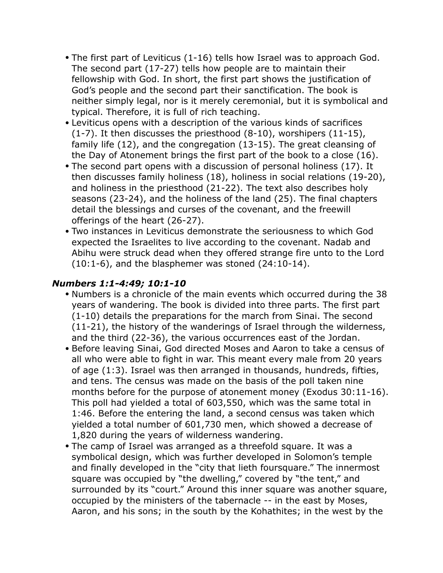- The first part of Leviticus (1-16) tells how Israel was to approach God. The second part (17-27) tells how people are to maintain their fellowship with God. In short, the first part shows the justification of God's people and the second part their sanctification. The book is neither simply legal, nor is it merely ceremonial, but it is symbolical and typical. Therefore, it is full of rich teaching.
- Leviticus opens with a description of the various kinds of sacrifices (1-7). It then discusses the priesthood (8-10), worshipers (11-15), family life (12), and the congregation (13-15). The great cleansing of the Day of Atonement brings the first part of the book to a close (16).
- The second part opens with a discussion of personal holiness (17). It then discusses family holiness (18), holiness in social relations (19-20), and holiness in the priesthood (21-22). The text also describes holy seasons (23-24), and the holiness of the land (25). The final chapters detail the blessings and curses of the covenant, and the freewill offerings of the heart (26-27).
- Two instances in Leviticus demonstrate the seriousness to which God expected the Israelites to live according to the covenant. Nadab and Abihu were struck dead when they offered strange fire unto to the Lord (10:1-6), and the blasphemer was stoned (24:10-14).

## *Numbers 1:1-4:49; 10:1-10*

- Numbers is a chronicle of the main events which occurred during the 38 years of wandering. The book is divided into three parts. The first part (1-10) details the preparations for the march from Sinai. The second (11-21), the history of the wanderings of Israel through the wilderness, and the third (22-36), the various occurrences east of the Jordan.
- Before leaving Sinai, God directed Moses and Aaron to take a census of all who were able to fight in war. This meant every male from 20 years of age (1:3). Israel was then arranged in thousands, hundreds, fifties, and tens. The census was made on the basis of the poll taken nine months before for the purpose of atonement money (Exodus 30:11-16). This poll had yielded a total of 603,550, which was the same total in 1:46. Before the entering the land, a second census was taken which yielded a total number of 601,730 men, which showed a decrease of 1,820 during the years of wilderness wandering.
- The camp of Israel was arranged as a threefold square. It was a symbolical design, which was further developed in Solomon's temple and finally developed in the "city that lieth foursquare." The innermost square was occupied by "the dwelling," covered by "the tent," and surrounded by its "court." Around this inner square was another square, occupied by the ministers of the tabernacle -- in the east by Moses, Aaron, and his sons; in the south by the Kohathites; in the west by the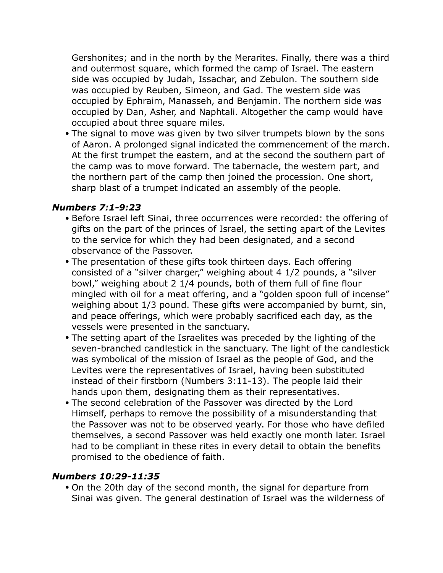Gershonites; and in the north by the Merarites. Finally, there was a third and outermost square, which formed the camp of Israel. The eastern side was occupied by Judah, Issachar, and Zebulon. The southern side was occupied by Reuben, Simeon, and Gad. The western side was occupied by Ephraim, Manasseh, and Benjamin. The northern side was occupied by Dan, Asher, and Naphtali. Altogether the camp would have occupied about three square miles.

• The signal to move was given by two silver trumpets blown by the sons of Aaron. A prolonged signal indicated the commencement of the march. At the first trumpet the eastern, and at the second the southern part of the camp was to move forward. The tabernacle, the western part, and the northern part of the camp then joined the procession. One short, sharp blast of a trumpet indicated an assembly of the people.

#### *Numbers 7:1-9:23*

- Before Israel left Sinai, three occurrences were recorded: the offering of gifts on the part of the princes of Israel, the setting apart of the Levites to the service for which they had been designated, and a second observance of the Passover.
- The presentation of these gifts took thirteen days. Each offering consisted of a "silver charger," weighing about 4 1/2 pounds, a "silver bowl," weighing about 2 1/4 pounds, both of them full of fine flour mingled with oil for a meat offering, and a "golden spoon full of incense" weighing about 1/3 pound. These gifts were accompanied by burnt, sin, and peace offerings, which were probably sacrificed each day, as the vessels were presented in the sanctuary.
- The setting apart of the Israelites was preceded by the lighting of the seven-branched candlestick in the sanctuary. The light of the candlestick was symbolical of the mission of Israel as the people of God, and the Levites were the representatives of Israel, having been substituted instead of their firstborn (Numbers 3:11-13). The people laid their hands upon them, designating them as their representatives.
- The second celebration of the Passover was directed by the Lord Himself, perhaps to remove the possibility of a misunderstanding that the Passover was not to be observed yearly. For those who have defiled themselves, a second Passover was held exactly one month later. Israel had to be compliant in these rites in every detail to obtain the benefits promised to the obedience of faith.

#### *Numbers 10:29-11:35*

• On the 20th day of the second month, the signal for departure from Sinai was given. The general destination of Israel was the wilderness of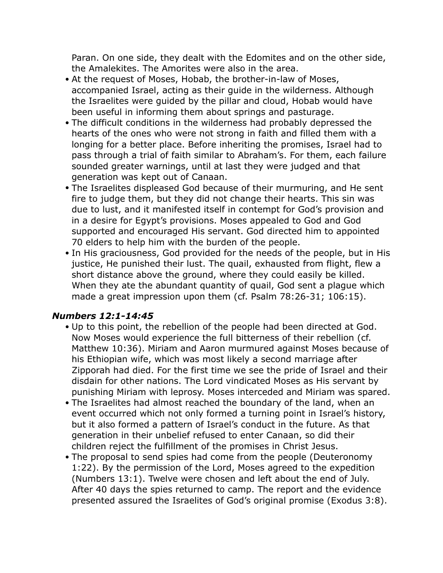Paran. On one side, they dealt with the Edomites and on the other side, the Amalekites. The Amorites were also in the area.

- At the request of Moses, Hobab, the brother-in-law of Moses, accompanied Israel, acting as their guide in the wilderness. Although the Israelites were guided by the pillar and cloud, Hobab would have been useful in informing them about springs and pasturage.
- The difficult conditions in the wilderness had probably depressed the hearts of the ones who were not strong in faith and filled them with a longing for a better place. Before inheriting the promises, Israel had to pass through a trial of faith similar to Abraham's. For them, each failure sounded greater warnings, until at last they were judged and that generation was kept out of Canaan.
- The Israelites displeased God because of their murmuring, and He sent fire to judge them, but they did not change their hearts. This sin was due to lust, and it manifested itself in contempt for God's provision and in a desire for Egypt's provisions. Moses appealed to God and God supported and encouraged His servant. God directed him to appointed 70 elders to help him with the burden of the people.
- In His graciousness, God provided for the needs of the people, but in His justice, He punished their lust. The quail, exhausted from flight, flew a short distance above the ground, where they could easily be killed. When they ate the abundant quantity of quail, God sent a plague which made a great impression upon them (cf. Psalm 78:26-31; 106:15).

#### *Numbers 12:1-14:45*

- Up to this point, the rebellion of the people had been directed at God. Now Moses would experience the full bitterness of their rebellion (cf. Matthew 10:36). Miriam and Aaron murmured against Moses because of his Ethiopian wife, which was most likely a second marriage after Zipporah had died. For the first time we see the pride of Israel and their disdain for other nations. The Lord vindicated Moses as His servant by punishing Miriam with leprosy. Moses interceded and Miriam was spared.
- The Israelites had almost reached the boundary of the land, when an event occurred which not only formed a turning point in Israel's history, but it also formed a pattern of Israel's conduct in the future. As that generation in their unbelief refused to enter Canaan, so did their children reject the fulfillment of the promises in Christ Jesus.
- The proposal to send spies had come from the people (Deuteronomy 1:22). By the permission of the Lord, Moses agreed to the expedition (Numbers 13:1). Twelve were chosen and left about the end of July. After 40 days the spies returned to camp. The report and the evidence presented assured the Israelites of God's original promise (Exodus 3:8).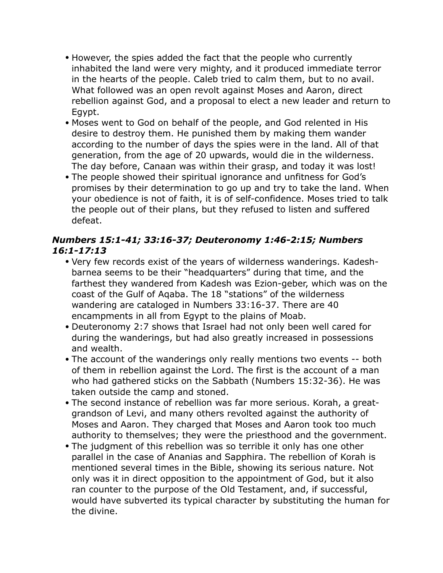- However, the spies added the fact that the people who currently inhabited the land were very mighty, and it produced immediate terror in the hearts of the people. Caleb tried to calm them, but to no avail. What followed was an open revolt against Moses and Aaron, direct rebellion against God, and a proposal to elect a new leader and return to Egypt.
- Moses went to God on behalf of the people, and God relented in His desire to destroy them. He punished them by making them wander according to the number of days the spies were in the land. All of that generation, from the age of 20 upwards, would die in the wilderness. The day before, Canaan was within their grasp, and today it was lost!
- The people showed their spiritual ignorance and unfitness for God's promises by their determination to go up and try to take the land. When your obedience is not of faith, it is of self-confidence. Moses tried to talk the people out of their plans, but they refused to listen and suffered defeat.

### *Numbers 15:1-41; 33:16-37; Deuteronomy 1:46-2:15; Numbers 16:1-17:13*

- Very few records exist of the years of wilderness wanderings. Kadeshbarnea seems to be their "headquarters" during that time, and the farthest they wandered from Kadesh was Ezion-geber, which was on the coast of the Gulf of Aqaba. The 18 "stations" of the wilderness wandering are cataloged in Numbers 33:16-37. There are 40 encampments in all from Egypt to the plains of Moab.
- Deuteronomy 2:7 shows that Israel had not only been well cared for during the wanderings, but had also greatly increased in possessions and wealth.
- The account of the wanderings only really mentions two events -- both of them in rebellion against the Lord. The first is the account of a man who had gathered sticks on the Sabbath (Numbers 15:32-36). He was taken outside the camp and stoned.
- The second instance of rebellion was far more serious. Korah, a greatgrandson of Levi, and many others revolted against the authority of Moses and Aaron. They charged that Moses and Aaron took too much authority to themselves; they were the priesthood and the government.
- The judgment of this rebellion was so terrible it only has one other parallel in the case of Ananias and Sapphira. The rebellion of Korah is mentioned several times in the Bible, showing its serious nature. Not only was it in direct opposition to the appointment of God, but it also ran counter to the purpose of the Old Testament, and, if successful, would have subverted its typical character by substituting the human for the divine.